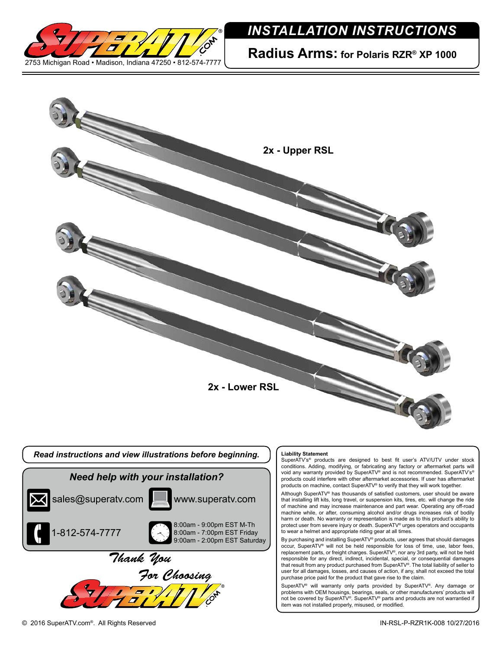

## *INSTALLATION INSTRUCTIONS*

**Radius Arms: for Polaris RZR® XP 1000**



responsible for any direct, indirect, incidental, special, or consequential damages that result from any product purchased from SuperATV®. The total liability of seller to user for all damages, losses, and causes of action, if any, shall not exceed the total purchase price paid for the product that gave rise to the claim. SuperATV® will warranty only parts provided by SuperATV®. Any damage or

problems with OEM housings, bearings, seals, or other manufacturers' products will not be covered by SuperATV®. SuperATV® parts and products are not warrantied if item was not installed properly, misused, or modified.

*For Choosing*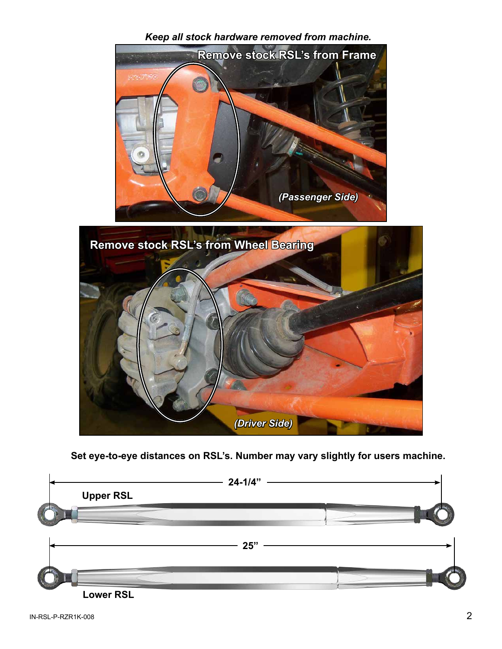



## **Set eye-to-eye distances on RSL's. Number may vary slightly for users machine.**